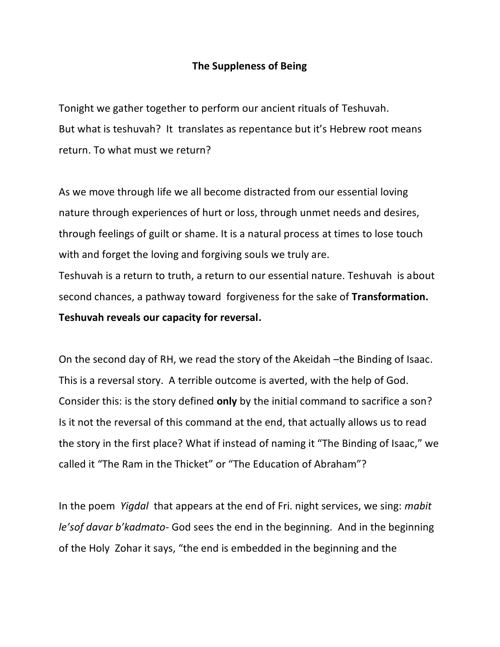## **The Suppleness of Being**

Tonight we gather together to perform our ancient rituals of Teshuvah. But what is teshuvah? It translates as repentance but it's Hebrew root means return. To what must we return?

As we move through life we all become distracted from our essential loving nature through experiences of hurt or loss, through unmet needs and desires, through feelings of guilt or shame. It is a natural process at times to lose touch with and forget the loving and forgiving souls we truly are.

Teshuvah is a return to truth, a return to our essential nature. Teshuvah is about second chances, a pathway toward forgiveness for the sake of **Transformation. Teshuvah reveals our capacity for reversal.**

On the second day of RH, we read the story of the Akeidah –the Binding of Isaac. This is a reversal story. A terrible outcome is averted, with the help of God. Consider this: is the story defined **only** by the initial command to sacrifice a son? Is it not the reversal of this command at the end, that actually allows us to read the story in the first place? What if instead of naming it "The Binding of Isaac," we called it "The Ram in the Thicket" or "The Education of Abraham"?

In the poem *Yigdal* that appears at the end of Fri. night services, we sing: *mabit le'sof davar b'kadmato-* God sees the end in the beginning. And in the beginning of the Holy Zohar it says, "the end is embedded in the beginning and the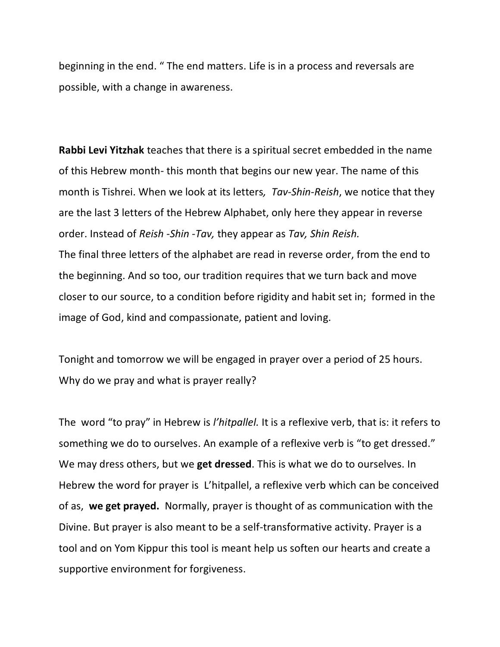beginning in the end. " The end matters. Life is in a process and reversals are possible, with a change in awareness.

**Rabbi Levi Yitzhak** teaches that there is a spiritual secret embedded in the name of this Hebrew month- this month that begins our new year. The name of this month is Tishrei. When we look at its letters*, Tav-Shin-Reish*, we notice that they are the last 3 letters of the Hebrew Alphabet, only here they appear in reverse order. Instead of *Reish -Shin -Tav,* they appear as *Tav, Shin Reish.* The final three letters of the alphabet are read in reverse order, from the end to the beginning. And so too, our tradition requires that we turn back and move closer to our source, to a condition before rigidity and habit set in; formed in the image of God, kind and compassionate, patient and loving.

Tonight and tomorrow we will be engaged in prayer over a period of 25 hours. Why do we pray and what is prayer really?

The word "to pray" in Hebrew is *l'hitpallel.* It is a reflexive verb, that is: it refers to something we do to ourselves. An example of a reflexive verb is "to get dressed." We may dress others, but we **get dressed**. This is what we do to ourselves. In Hebrew the word for prayer is L'hitpallel, a reflexive verb which can be conceived of as, **we get prayed.** Normally, prayer is thought of as communication with the Divine. But prayer is also meant to be a self-transformative activity. Prayer is a tool and on Yom Kippur this tool is meant help us soften our hearts and create a supportive environment for forgiveness.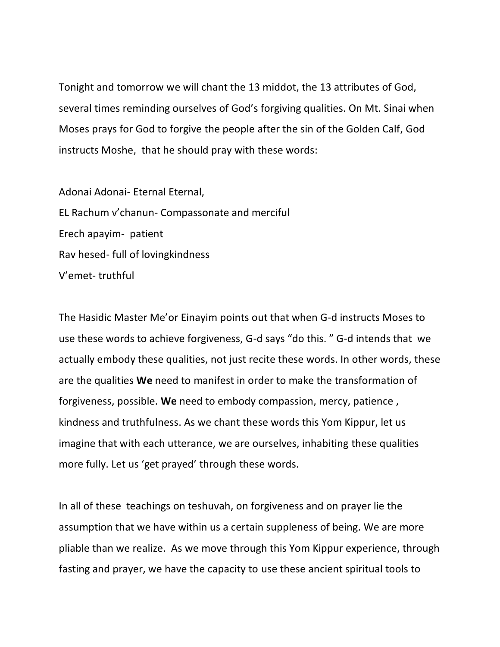Tonight and tomorrow we will chant the 13 middot, the 13 attributes of God, several times reminding ourselves of God's forgiving qualities. On Mt. Sinai when Moses prays for God to forgive the people after the sin of the Golden Calf, God instructs Moshe, that he should pray with these words:

Adonai Adonai- Eternal Eternal, EL Rachum v'chanun- Compassonate and merciful Erech apayim- patient Rav hesed- full of lovingkindness V'emet- truthful

The Hasidic Master Me'or Einayim points out that when G-d instructs Moses to use these words to achieve forgiveness, G-d says "do this. " G-d intends that we actually embody these qualities, not just recite these words. In other words, these are the qualities **We** need to manifest in order to make the transformation of forgiveness, possible. **We** need to embody compassion, mercy, patience , kindness and truthfulness. As we chant these words this Yom Kippur, let us imagine that with each utterance, we are ourselves, inhabiting these qualities more fully. Let us 'get prayed' through these words.

In all of these teachings on teshuvah, on forgiveness and on prayer lie the assumption that we have within us a certain suppleness of being. We are more pliable than we realize. As we move through this Yom Kippur experience, through fasting and prayer, we have the capacity to use these ancient spiritual tools to